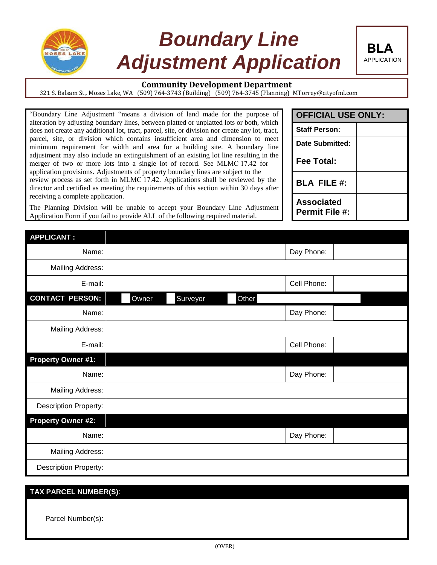

## *Boundary Line Adjustment Application*



321 S. Balsam St., Moses Lake, WA (509) 764-3743 (Building) (509) 764-3745 (Planning) MTorrey@cityofml.com

"Boundary Line Adjustment "means a division of land made for the purpose of alteration by adjusting boundary lines, between platted or unplatted lots or both, which does not create any additional lot, tract, parcel, site, or division nor create any lot, tract, parcel, site, or division which contains insufficient area and dimension to meet minimum requirement for width and area for a building site. A boundary line adjustment may also include an extinguishment of an existing lot line resulting in the merger of two or more lots into a single lot of record. See MLMC 17.42 for application provisions. Adjustments of property boundary lines are subject to the review process as set forth in MLMC 17.42. Applications shall be reviewed by the director and certified as meeting the requirements of this section within 30 days after receiving a complete application.

The Planning Division will be unable to accept your Boundary Line Adjustment Application Form if you fail to provide ALL of the following required material.

| <b>OFFICIAL USE ONLY:</b>                  |  |
|--------------------------------------------|--|
| <b>Staff Person:</b>                       |  |
| Date Submitted:                            |  |
| Fee Total:                                 |  |
| <b>BLA FILE #:</b>                         |  |
| <b>Associated</b><br><b>Permit File #:</b> |  |

**BLA**

APPLICATION

| <b>APPLICANT:</b>            |       |          |       |             |  |
|------------------------------|-------|----------|-------|-------------|--|
| Name:                        |       |          |       | Day Phone:  |  |
| <b>Mailing Address:</b>      |       |          |       |             |  |
| E-mail:                      |       |          |       | Cell Phone: |  |
| <b>CONTACT PERSON:</b>       | Owner | Surveyor | Other |             |  |
| Name:                        |       |          |       | Day Phone:  |  |
| <b>Mailing Address:</b>      |       |          |       |             |  |
| E-mail:                      |       |          |       | Cell Phone: |  |
| <b>Property Owner #1:</b>    |       |          |       |             |  |
| Name:                        |       |          |       | Day Phone:  |  |
| <b>Mailing Address:</b>      |       |          |       |             |  |
| <b>Description Property:</b> |       |          |       |             |  |
| <b>Property Owner #2:</b>    |       |          |       |             |  |
| Name:                        |       |          |       | Day Phone:  |  |
| <b>Mailing Address:</b>      |       |          |       |             |  |
| Description Property:        |       |          |       |             |  |

| TAX PARCEL NUMBER(S): |  |  |  |  |
|-----------------------|--|--|--|--|
| Parcel Number(s):     |  |  |  |  |